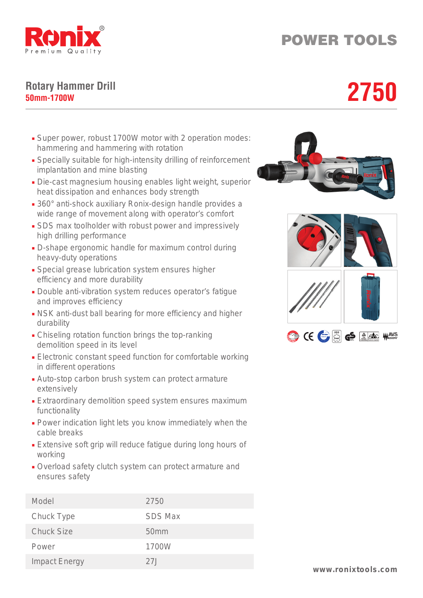

## POWER TOOLS

## **Rotary Hammer Drill** Rotary Hammer Drill<br>50mm-1700W<br>**2750**

- Super power, robust 1700W motor with 2 operation modes: hammering and hammering with rotation
- Specially suitable for high-intensity drilling of reinforcement implantation and mine blasting
- Die-cast magnesium housing enables light weight, superior heat dissipation and enhances body strength
- 360° anti-shock auxiliary Ronix-design handle provides a wide range of movement along with operator's comfort
- SDS max toolholder with robust power and impressively high drilling performance
- D-shape ergonomic handle for maximum control during heavy-duty operations
- Special grease lubrication system ensures higher efficiency and more durability
- Double anti-vibration system reduces operator's fatigue and improves efficiency
- NSK anti-dust ball bearing for more efficiency and higher durability
- Chiseling rotation function brings the top-ranking demolition speed in its level
- Electronic constant speed function for comfortable working in different operations
- Auto-stop carbon brush system can protect armature extensively
- Extraordinary demolition speed system ensures maximum functionality
- Power indication light lets you know immediately when the cable breaks
- Extensive soft grip will reduce fatigue during long hours of working
- Overload safety clutch system can protect armature and ensures safety

| Model                | 2750             |
|----------------------|------------------|
| Chuck Type           | <b>SDS Max</b>   |
| <b>Chuck Size</b>    | 50 <sub>mm</sub> |
| Power                | 1700W            |
| <b>Impact Energy</b> | 27.1             |